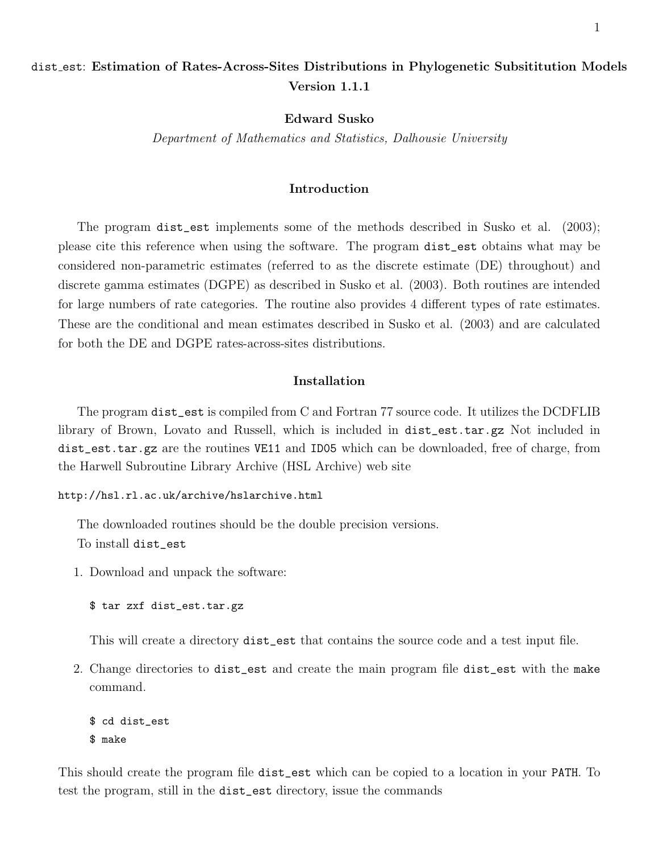# dist est: Estimation of Rates-Across-Sites Distributions in Phylogenetic Subsititution Models Version 1.1.1

Edward Susko

Department of Mathematics and Statistics, Dalhousie University

# Introduction

The program dist\_est implements some of the methods described in Susko et al. (2003); please cite this reference when using the software. The program dist\_est obtains what may be considered non-parametric estimates (referred to as the discrete estimate (DE) throughout) and discrete gamma estimates (DGPE) as described in Susko et al. (2003). Both routines are intended for large numbers of rate categories. The routine also provides 4 different types of rate estimates. These are the conditional and mean estimates described in Susko et al. (2003) and are calculated for both the DE and DGPE rates-across-sites distributions.

# Installation

The program dist\_est is compiled from C and Fortran 77 source code. It utilizes the DCDFLIB library of Brown, Lovato and Russell, which is included in dist\_est.tar.gz Not included in dist\_est.tar.gz are the routines VE11 and ID05 which can be downloaded, free of charge, from the Harwell Subroutine Library Archive (HSL Archive) web site

http://hsl.rl.ac.uk/archive/hslarchive.html

The downloaded routines should be the double precision versions. To install dist\_est

1. Download and unpack the software:

\$ tar zxf dist\_est.tar.gz

This will create a directory dist\_est that contains the source code and a test input file.

2. Change directories to dist\_est and create the main program file dist\_est with the make command.

```
$ cd dist_est
$ make
```
This should create the program file dist\_est which can be copied to a location in your PATH. To test the program, still in the dist\_est directory, issue the commands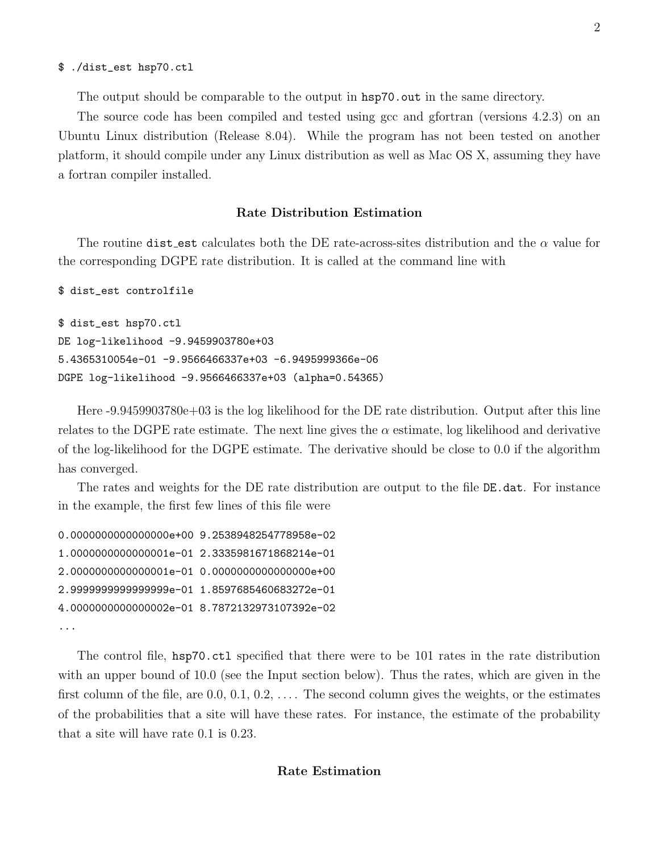#### \$ ./dist\_est hsp70.ctl

The output should be comparable to the output in hsp70.out in the same directory.

The source code has been compiled and tested using gcc and gfortran (versions 4.2.3) on an Ubuntu Linux distribution (Release 8.04). While the program has not been tested on another platform, it should compile under any Linux distribution as well as Mac OS X, assuming they have a fortran compiler installed.

## Rate Distribution Estimation

The routine dist est calculates both the DE rate-across-sites distribution and the  $\alpha$  value for the corresponding DGPE rate distribution. It is called at the command line with

```
$ dist_est controlfile
$ dist_est hsp70.ctl
DE log-likelihood -9.9459903780e+03
5.4365310054e-01 -9.9566466337e+03 -6.9495999366e-06
DGPE log-likelihood -9.9566466337e+03 (alpha=0.54365)
```
Here -9.9459903780e+03 is the log likelihood for the DE rate distribution. Output after this line relates to the DGPE rate estimate. The next line gives the  $\alpha$  estimate, log likelihood and derivative of the log-likelihood for the DGPE estimate. The derivative should be close to 0.0 if the algorithm has converged.

The rates and weights for the DE rate distribution are output to the file DE.dat. For instance in the example, the first few lines of this file were

```
0.0000000000000000e+00 9.2538948254778958e-02
1.0000000000000001e-01 2.3335981671868214e-01
2.0000000000000001e-01 0.0000000000000000e+00
2.9999999999999999e-01 1.8597685460683272e-01
4.0000000000000002e-01 8.7872132973107392e-02
...
```
The control file, hsp70.ctl specified that there were to be 101 rates in the rate distribution with an upper bound of 10.0 (see the Input section below). Thus the rates, which are given in the first column of the file, are  $0.0, 0.1, 0.2, \ldots$ . The second column gives the weights, or the estimates of the probabilities that a site will have these rates. For instance, the estimate of the probability that a site will have rate 0.1 is 0.23.

# Rate Estimation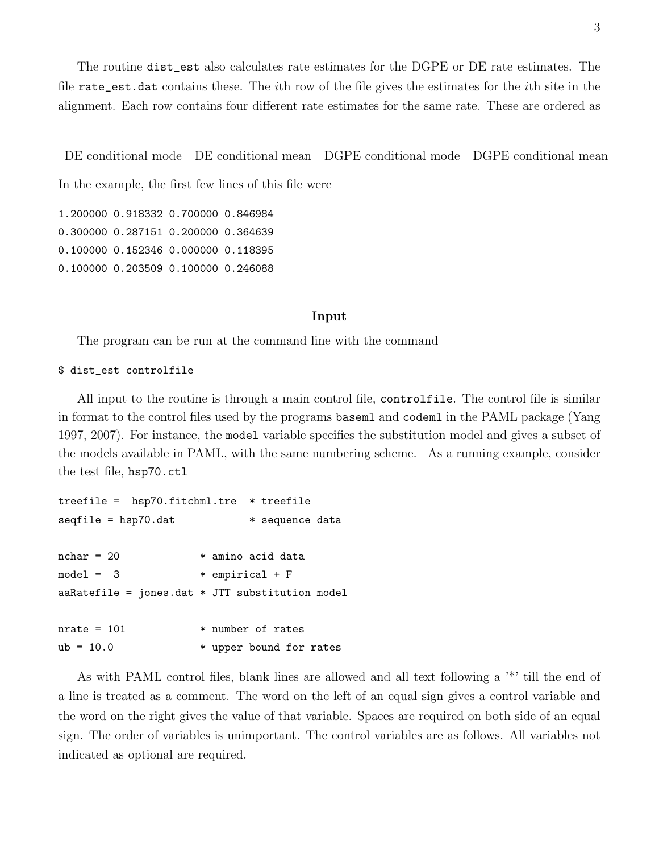The routine dist\_est also calculates rate estimates for the DGPE or DE rate estimates. The file rate\_est.dat contains these. The *i*th row of the file gives the estimates for the *i*th site in the alignment. Each row contains four different rate estimates for the same rate. These are ordered as

DE conditional mode DE conditional mean DGPE conditional mode DGPE conditional mean

In the example, the first few lines of this file were

1.200000 0.918332 0.700000 0.846984 0.300000 0.287151 0.200000 0.364639 0.100000 0.152346 0.000000 0.118395 0.100000 0.203509 0.100000 0.246088

#### Input

The program can be run at the command line with the command

## \$ dist\_est controlfile

All input to the routine is through a main control file, controlfile. The control file is similar in format to the control files used by the programs baseml and codeml in the PAML package (Yang 1997, 2007). For instance, the model variable specifies the substitution model and gives a subset of the models available in PAML, with the same numbering scheme. As a running example, consider the test file, hsp70.ctl

```
treefile = hsp70.fitchml.tre * treefile
seqfile = hsp70.dat * sequence data
nchar = 20 * amino acid data
model = 3 * empirical + F
aaRatefile = jones.dat * JTT substitution model
nrate = 101 * number of rates
ub = 10.0 * upper bound for rates
```
As with PAML control files, blank lines are allowed and all text following a '\*' till the end of a line is treated as a comment. The word on the left of an equal sign gives a control variable and the word on the right gives the value of that variable. Spaces are required on both side of an equal sign. The order of variables is unimportant. The control variables are as follows. All variables not indicated as optional are required.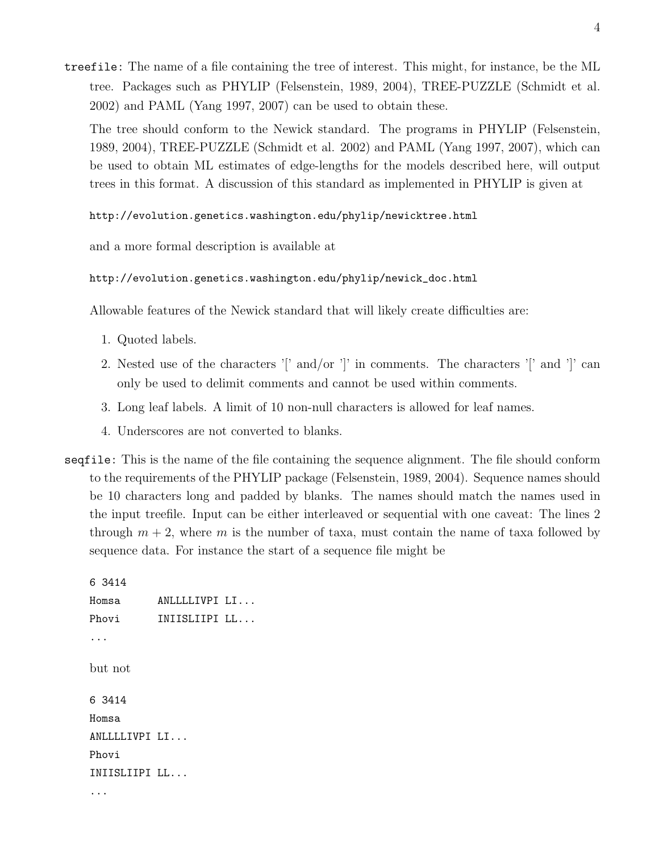treefile: The name of a file containing the tree of interest. This might, for instance, be the ML tree. Packages such as PHYLIP (Felsenstein, 1989, 2004), TREE-PUZZLE (Schmidt et al. 2002) and PAML (Yang 1997, 2007) can be used to obtain these.

The tree should conform to the Newick standard. The programs in PHYLIP (Felsenstein, 1989, 2004), TREE-PUZZLE (Schmidt et al. 2002) and PAML (Yang 1997, 2007), which can be used to obtain ML estimates of edge-lengths for the models described here, will output trees in this format. A discussion of this standard as implemented in PHYLIP is given at

http://evolution.genetics.washington.edu/phylip/newicktree.html

and a more formal description is available at

```
http://evolution.genetics.washington.edu/phylip/newick_doc.html
```
Allowable features of the Newick standard that will likely create difficulties are:

- 1. Quoted labels.
- 2. Nested use of the characters '[' and/or ']' in comments. The characters '[' and ']' can only be used to delimit comments and cannot be used within comments.
- 3. Long leaf labels. A limit of 10 non-null characters is allowed for leaf names.
- 4. Underscores are not converted to blanks.
- seqfile: This is the name of the file containing the sequence alignment. The file should conform to the requirements of the PHYLIP package (Felsenstein, 1989, 2004). Sequence names should be 10 characters long and padded by blanks. The names should match the names used in the input treefile. Input can be either interleaved or sequential with one caveat: The lines 2 through  $m + 2$ , where m is the number of taxa, must contain the name of taxa followed by sequence data. For instance the start of a sequence file might be

```
6 3414
Homsa ANLLLLIVPI LI...
Phovi INIISLIIPI LL...
...
but not
6 3414
Homsa
ANLLLLIVPI LI...
Phovi
INIISLIIPI LL...
...
```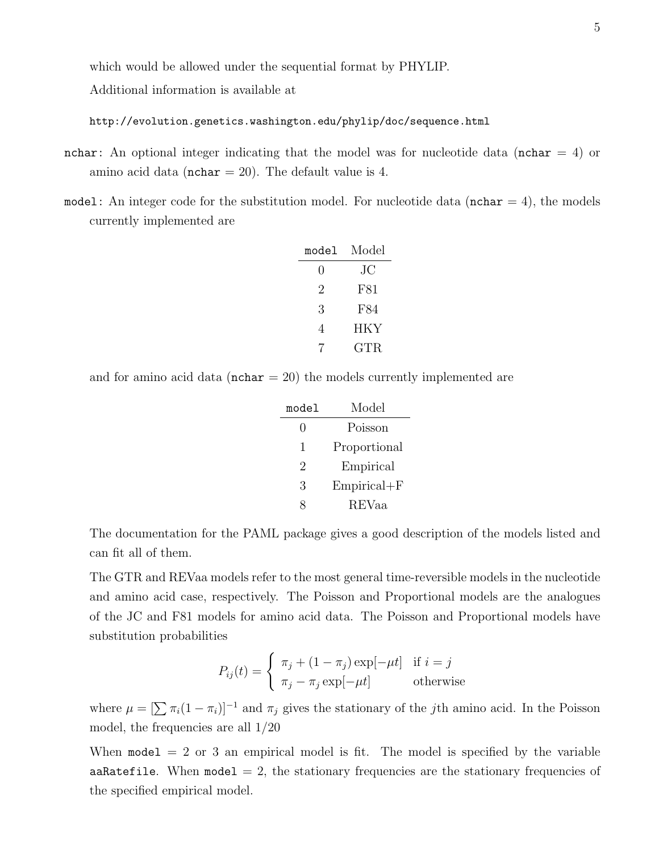which would be allowed under the sequential format by PHYLIP.

Additional information is available at

http://evolution.genetics.washington.edu/phylip/doc/sequence.html

- nchar: An optional integer indicating that the model was for nucleotide data (nchar  $= 4$ ) or amino acid data ( $nchar = 20$ ). The default value is 4.
- model: An integer code for the substitution model. For nucleotide data ( $nchar = 4$ ), the models currently implemented are

| model            | Model |
|------------------|-------|
| $\left( \right)$ | JС    |
| 2                | F81   |
| 3                | F84   |
| 4                | HKY   |
|                  | GTR.  |

and for amino acid data ( $nchar = 20$ ) the models currently implemented are

| model | Model           |
|-------|-----------------|
| 0     | Poisson         |
| 1     | Proportional    |
| 2     | Empirical       |
| 3     | $Empirical + F$ |
| Q     | <b>REVaa</b>    |

The documentation for the PAML package gives a good description of the models listed and can fit all of them.

The GTR and REVaa models refer to the most general time-reversible models in the nucleotide and amino acid case, respectively. The Poisson and Proportional models are the analogues of the JC and F81 models for amino acid data. The Poisson and Proportional models have substitution probabilities

$$
P_{ij}(t) = \begin{cases} \pi_j + (1 - \pi_j) \exp[-\mu t] & \text{if } i = j \\ \pi_j - \pi_j \exp[-\mu t] & \text{otherwise} \end{cases}
$$

where  $\mu = \left[\sum \pi_i(1 - \pi_i)\right]^{-1}$  and  $\pi_j$  gives the stationary of the *j*th amino acid. In the Poisson model, the frequencies are all 1/20

When  $model = 2$  or 3 an empirical model is fit. The model is specified by the variable aaRatefile. When model  $= 2$ , the stationary frequencies are the stationary frequencies of the specified empirical model.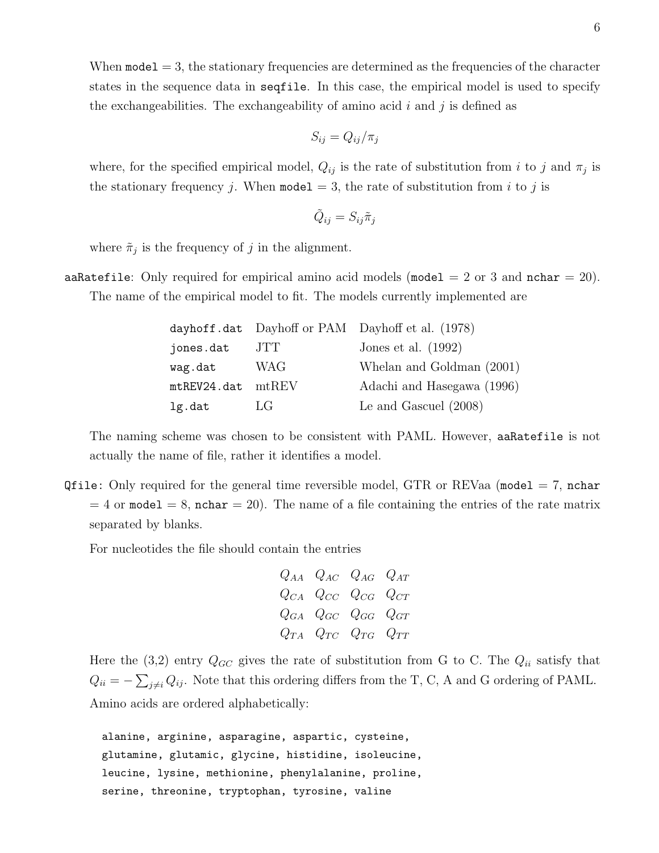When  $\texttt{model} = 3$ , the stationary frequencies are determined as the frequencies of the character states in the sequence data in seqfile. In this case, the empirical model is used to specify the exchangeabilities. The exchangeability of amino acid  $i$  and  $j$  is defined as

$$
S_{ij} = Q_{ij}/\pi_j
$$

where, for the specified empirical model,  $Q_{ij}$  is the rate of substitution from i to j and  $\pi_j$  is the stationary frequency j. When model  $= 3$ , the rate of substitution from i to j is

$$
\tilde{Q}_{ij} = S_{ij}\tilde{\pi}_j
$$

where  $\tilde{\pi}_j$  is the frequency of j in the alignment.

aaRatefile: Only required for empirical amino acid models (model = 2 or 3 and nchar = 20). The name of the empirical model to fit. The models currently implemented are

|             |                  | dayhoff.dat Dayhoff or PAM Dayhoff et al. (1978) |
|-------------|------------------|--------------------------------------------------|
| jones.dat   | JTT              | Jones et al. $(1992)$                            |
| wag.dat     | WAG              | Whelan and Goldman (2001)                        |
| mtREV24.dat | $m$ t $REV$      | Adachi and Hasegawa (1996)                       |
| lg.dat      | $L$ $\mathbf{G}$ | Le and Gascuel $(2008)$                          |

The naming scheme was chosen to be consistent with PAML. However, aaRatefile is not actually the name of file, rather it identifies a model.

Qfile: Only required for the general time reversible model, GTR or REVaa (model  $= 7$ , nchar  $= 4$  or model  $= 8$ , nchar  $= 20$ . The name of a file containing the entries of the rate matrix separated by blanks.

For nucleotides the file should contain the entries

$$
\begin{array}{ccc}\nQ_{AA} & Q_{AC} & Q_{AG} & Q_{AT} \\
Q_{CA} & Q_{CC} & Q_{CG} & Q_{CT} \\
Q_{GA} & Q_{GC} & Q_{GG} & Q_{GT} \\
Q_{TA} & Q_{TC} & Q_{TG} & Q_{TT}\n\end{array}
$$

Here the (3,2) entry  $Q_{GC}$  gives the rate of substitution from G to C. The  $Q_{ii}$  satisfy that  $Q_{ii} = -\sum_{j\neq i} Q_{ij}$ . Note that this ordering differs from the T, C, A and G ordering of PAML. Amino acids are ordered alphabetically:

alanine, arginine, asparagine, aspartic, cysteine, glutamine, glutamic, glycine, histidine, isoleucine, leucine, lysine, methionine, phenylalanine, proline, serine, threonine, tryptophan, tyrosine, valine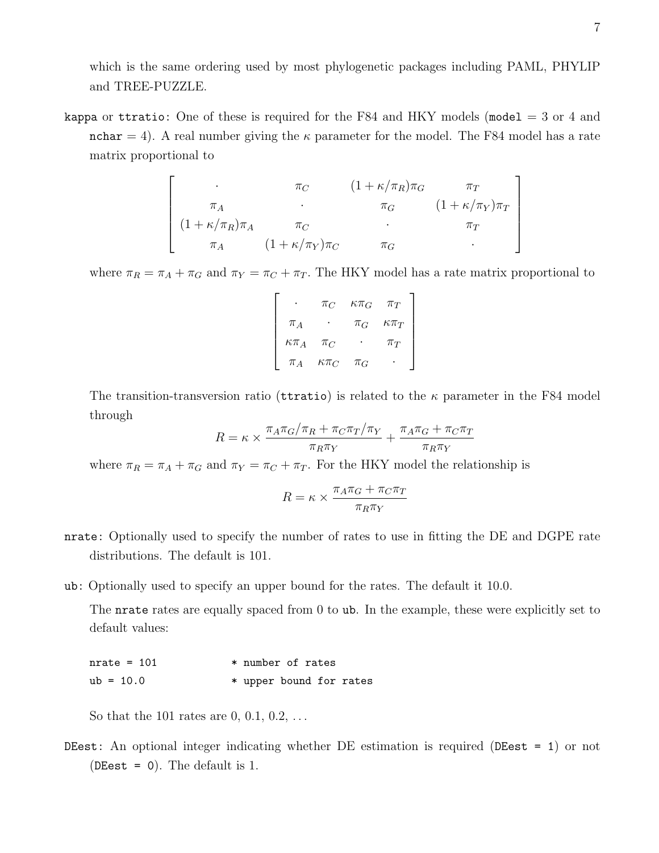which is the same ordering used by most phylogenetic packages including PAML, PHYLIP and TREE-PUZZLE.

kappa or ttratio: One of these is required for the F84 and HKY models (model  $=$  3 or 4 and nchar = 4). A real number giving the  $\kappa$  parameter for the model. The F84 model has a rate matrix proportional to

$$
\begin{bmatrix}\n\cdot & \pi_C & (1 + \kappa/\pi_R)\pi_G & \pi_T \\
\pi_A & \cdot & \pi_G & (1 + \kappa/\pi_Y)\pi_T \\
(1 + \kappa/\pi_R)\pi_A & \pi_C & \cdot & \pi_T \\
\pi_A & (1 + \kappa/\pi_Y)\pi_C & \pi_G & \cdot\n\end{bmatrix}
$$

where  $\pi_R = \pi_A + \pi_G$  and  $\pi_Y = \pi_C + \pi_T$ . The HKY model has a rate matrix proportional to

|                | $\pi_C$        | $K\pi_G$ | $\pi_T$        |
|----------------|----------------|----------|----------------|
| $\pi_A$        |                | $\pi_G$  | $\kappa \pi_T$ |
| $\kappa \pi_A$ | $\pi_C$        |          | $\pi_T$        |
| $\pi_A$        | $\kappa \pi_C$ | $\pi_G$  |                |

The transition-transversion ratio (turatio) is related to the  $\kappa$  parameter in the F84 model through

$$
R = \kappa \times \frac{\pi_A \pi_G/\pi_R + \pi_C \pi_T/\pi_Y}{\pi_R \pi_Y} + \frac{\pi_A \pi_G + \pi_C \pi_T}{\pi_R \pi_Y}
$$

where  $\pi_R = \pi_A + \pi_G$  and  $\pi_Y = \pi_C + \pi_T$ . For the HKY model the relationship is

$$
R = \kappa \times \frac{\pi_A \pi_G + \pi_C \pi_T}{\pi_R \pi_Y}
$$

- nrate: Optionally used to specify the number of rates to use in fitting the DE and DGPE rate distributions. The default is 101.
- ub: Optionally used to specify an upper bound for the rates. The default it 10.0.

The nrate rates are equally spaced from 0 to ub. In the example, these were explicitly set to default values:

 $nrate = 101$  \* number of rates ub =  $10.0$  \* upper bound for rates

So that the 101 rates are  $0, 0.1, 0.2, \ldots$ 

DEest: An optional integer indicating whether DE estimation is required (DEest = 1) or not (DEest = 0). The default is 1.